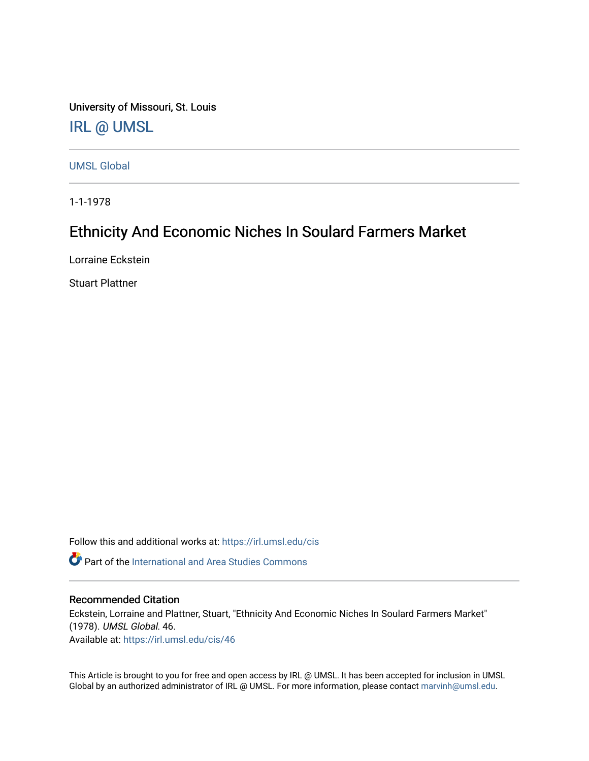University of Missouri, St. Louis [IRL @ UMSL](https://irl.umsl.edu/) 

[UMSL Global](https://irl.umsl.edu/cis)

1-1-1978

# Ethnicity And Economic Niches In Soulard Farmers Market

Lorraine Eckstein

Stuart Plattner

Follow this and additional works at: [https://irl.umsl.edu/cis](https://irl.umsl.edu/cis?utm_source=irl.umsl.edu%2Fcis%2F46&utm_medium=PDF&utm_campaign=PDFCoverPages) 

**P** Part of the International and Area Studies Commons

#### Recommended Citation

Eckstein, Lorraine and Plattner, Stuart, "Ethnicity And Economic Niches In Soulard Farmers Market" (1978). UMSL Global. 46. Available at: [https://irl.umsl.edu/cis/46](https://irl.umsl.edu/cis/46?utm_source=irl.umsl.edu%2Fcis%2F46&utm_medium=PDF&utm_campaign=PDFCoverPages) 

This Article is brought to you for free and open access by IRL @ UMSL. It has been accepted for inclusion in UMSL Global by an authorized administrator of IRL @ UMSL. For more information, please contact [marvinh@umsl.edu](mailto:marvinh@umsl.edu).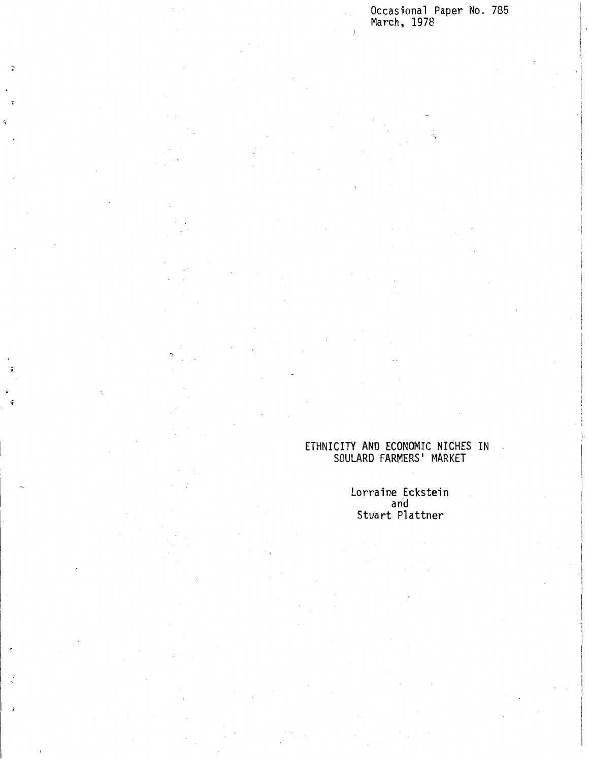Occasional Paper No. 785 March, 1978

 $\ddot{.}$ 

I i 'I I i i

 $\lambda$ 

#### ETHNICITY AND ECONOMIC NICHES IN SOULARD FARMERS 1 MARKET

Lorraine Eckstein and Stuart Plattner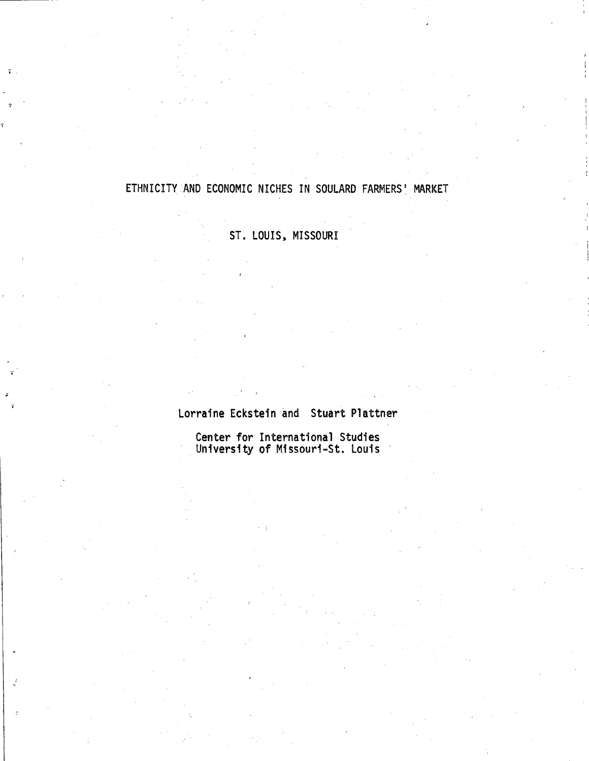## ETHNICITY AND ECONOMIC NICHES IN SOULARD FARMERS' MARKET

## ST. LOUIS, MISSOURI

Lorraine Eckstein and Stuart Plattner

Center for International Studies University of Missouri-St. Louis ·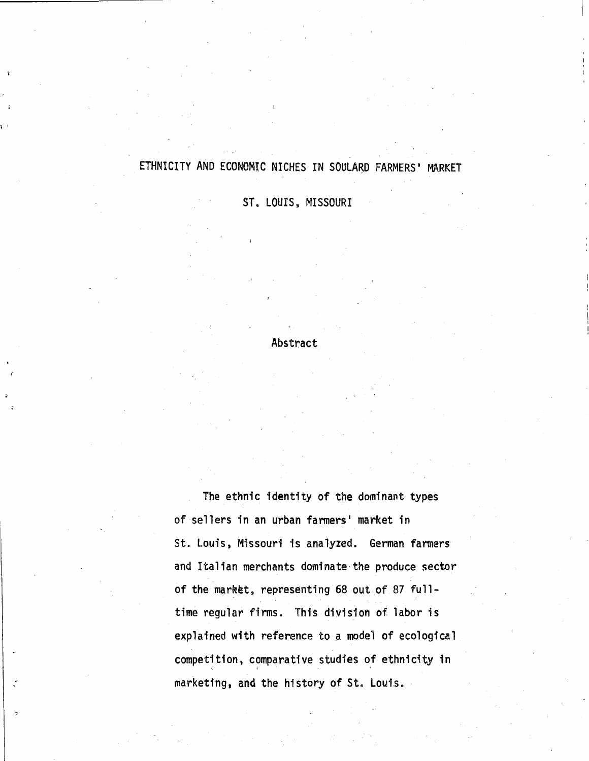#### ETHNICITY AND ECONOMIC NICHES IN SOULARD FARMERS' MARKET

ST. LOUIS, MISSOURI

#### Abstract

The ethnic identity of the dominant types of sellers in an urban farmers' market in St. Louis, Missouri is analyzed. German fanners and Italian merchants dominate·the produce sector of the market, representing 68 out of 87 fulltime regular firms. This division of labor is explained with reference to a model of ecological competition, comparative studies of ethnicity in marketing, and the history of St. Louis.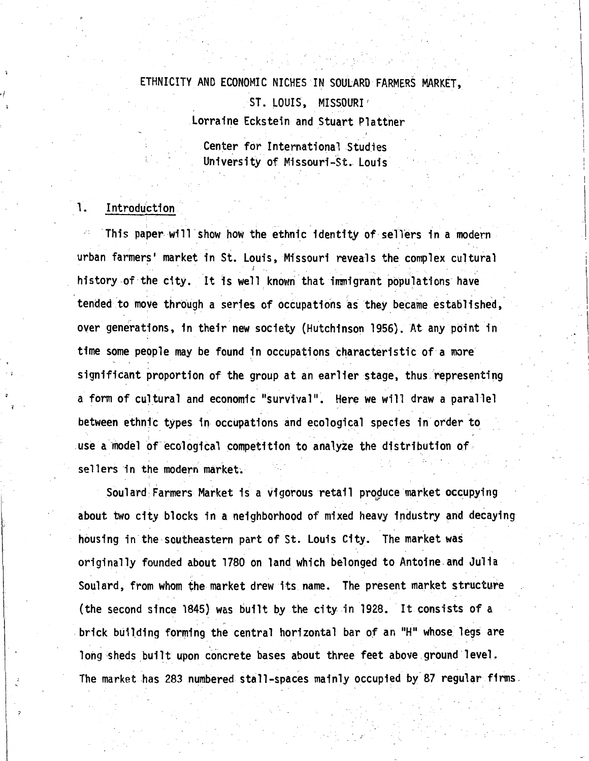# ETHNICITY AND ECONOMIC NICHES· 1N SOULARD FARMERS MARKET,\_ ST. LOUIS, MISSOURI / Lorraine Eckstein and Stuart Plattner

Center for International Studies University of Missouri-St. Louis

I

 $\parallel$ 

#### 1. Introduction

This paper will show how the ethnic identity of sellers in a modern urban farmers' market in St. Louis, Missouri reveals the complex cultural history of the city. It is well known that immigrant populations have tended to move through a series of occupations as they became established, over generations, in their new society (Hutchinson 1956). At any point in time some people may be found in occupations characteristic of a more significant proportion of the group at an earlier stage, thus representing a form of cultural and economic "survival". Here we will draw a parallel between ethnic types in occupations and ecological species in order to\_ use a model of ecological competition to analyze the distribution of sellers in the modern market

Soulard Farmers Market is a vigorous retail produce market occupying about two city blocks in a neighborhood of mixed heavy industry and decaying housing in the southeastern part of St. Louis City. The market was originally founded about 1780 on land which belonged to Antoine. and Julia . The simulation of the simulation of the simulation of the simulation of the simulation  $\mathcal{E}$ Soulard, from whom the market drew its name. The present market structure (the second since 1845) was built by the city in 1928. It consists of a brick building forming the central horizontal bar of an "H" whose legs are long sheds built upon concrete bases about three feet above ground level. The market has 283 numbered stall-spaces mainly occupied by 87 regular firms.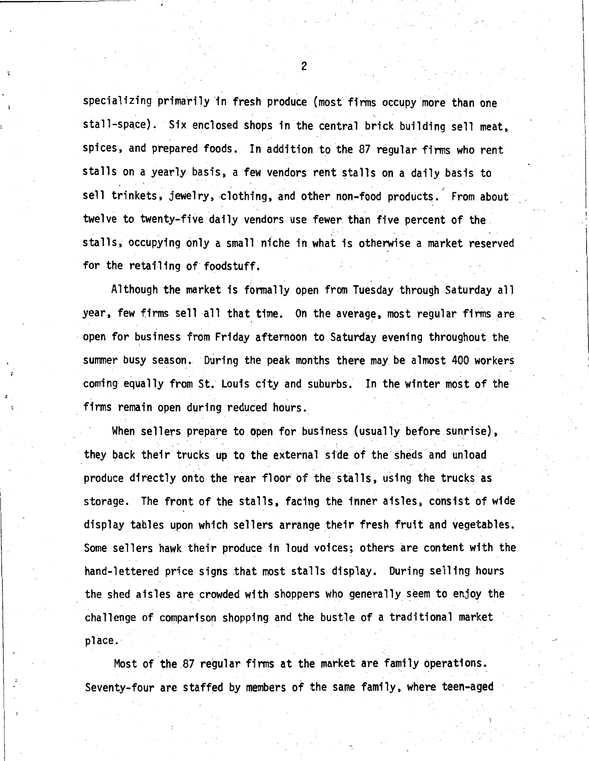specializing primarily in fresh produce (most firms occupy more than one stall-space). Six enclosed shops in the central brick building sell meat, spices, and prepared foods. In addition to the 87 regular firms who rent stalls on a yearly basis, a few vendors rent stalls on a daily basis to sell trinkets, jewelry, clothing, and other non-food products. From about twelve to twenty-five daily vendors use fewer than five percent of the stalls, occupying only a small nfche in what is otherwise a market reserved for the retailing of foodstuff.

Although the market is formally open from Tuesday through Saturday all year, few firms sell all that time. On the average, most regular firms are \_ open for business from Friday afternoon to Saturday evening throughout the summer busy season. During the peak months there may be almost 400 workers coming equally from St. Louis city and suburbs. In the winter most of the firms remain open during reduced hours.

When sellers prepare to open for business (usually before sunrise), they back their trucks up to the external side of the sheds and unload produce directly onto the rear floor' of the stalls, using the trucks as storage. The front of the stalls, facing the inner aisles, consist of wide display tables upon which sellers arrange their fresh fruit and vegetables. Some sellers hawk their produce in loud voices; others are content with the hand-lettered price signs that most stalls display. During selling hours the shed aisles are crowded with shoppers who generally seem to enjoy the challenge of comparison shopping and the bustle of a traditional market place.

Most of the 87 regular firms at the market are family operations.\_ Seventy-four are staffed by members of the same family, where teen-aged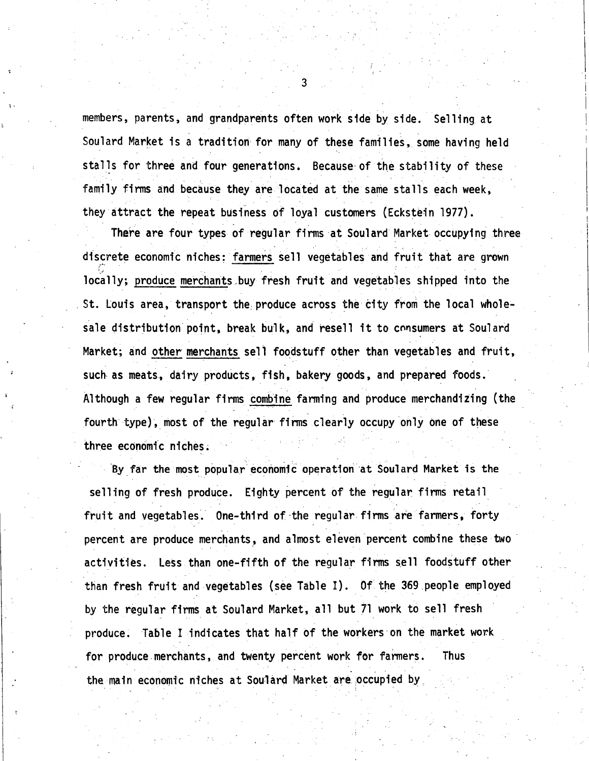members, parents, and grandparents often work side by side. Selling at Soulard Market is a tradition for many of these families, some having held stalls for three and four generations. Because of the stability of these family firms and because they are located at the same stalls each week, they attract the repeat business of loyal customers (Eckstein 1977).

! I i

There are four types of reqular firms at Soulard Market occupying three discrete economic niches: farmers sell vegetables and fruit that are grown locally; produce merchants buy fresh fruit and vegetables shipped into the St. Louis area, transport the produce across the city from the local wholesale distribution point, break bulk, and resell it to consumers at Soulard Market; and other merchants sell foodstuff other than vegetables and fruit, such as meats, dairy products, fish, bakery goods, and prepared foods. Although a few regular firms combine farming and produce merchandizing (the fourth type), most of the regular firms clearly occupy only one of these three economic niches.

By far the most popular economic operation at Soulard Market is the selling of fresh produce. Eighty percent of the regular firms retail fruit and vegetables. One-third of-the regular firms are farmers, forty percent are produce merchants, and almost eleven percent combine these two activities. Less than one-fifth of the regular firms sell foodstuff other than fresh fruit and vegetables (see Table I). *Of* the 369 people employed by the regular firms at Soulard Market, all but 71 work to sell fresh produce. Table I indicates that half of the workers on the market work for produce.merchants, and twenty percent work for farmers. Thus the main economic niches at Soulard Market are occupied by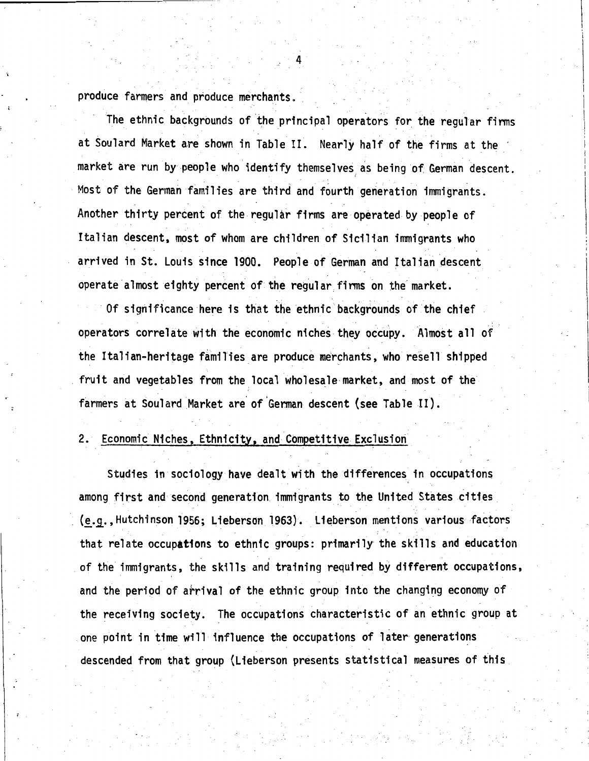produce farmers and produce merchants.

The ethnic backgrounds of the principal operators for the regular firms at Soulard Market are shown in Table II. Nearly half of the firms at the market are run by people who identify themselves as being of German descent. Most of the German families are third and fourth generation immigrants. Another thirty percent of the regular firms are operated by people of Italian descent, most of whom are children of Sicilian immigrants who arrived in St. Louis since 1900. People of German and Italian descent operate almost eighty percent of the regular firms on the market.

Of significance here is that the ethnic backgrounds of the chief operators correlate with the economic niches they occupy. Almost all of. the Italian-heritage families are produce merchants, who resell shipped fruit and vegetables from the local wholesale market, and most of the farmers at Soulard Market are of German descent (see Table II).

### 2. Economic Niches, Ethnicity, and Competitive Exclusion

Studies in sociology have dealt with the differences in occupations among first and second generation immigrants to the United States cities (e.g., Hutchinson 1956; Lieberson 1963). Lieberson mentions various factors that relate occupations to ethnic groups: primarily the skills and education . of the immigrants, the skills and training required by different occupations, and the period of arrival of the ethnic group into the changing economy of the receiving society. The occupations characteristic of an ethnic group at one point in time will influence the occupations of later generations descended from that group (Lieberson presents statistical measures of this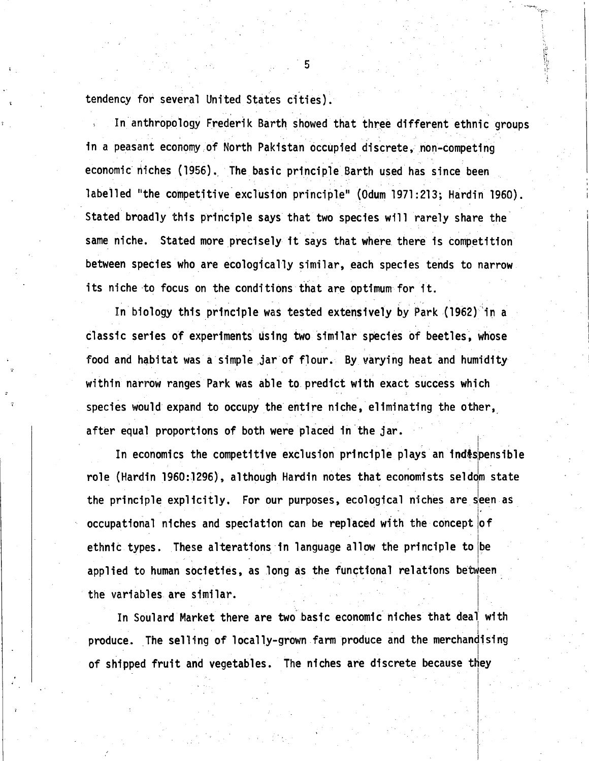tendency for several United States cities).

In anthropology Frederik Barth showed that three different ethnic groups in a peasant economy of North Pakistan occupied discrete, non-competing economic niches (1956). The basic principle Barth used has since been labelled "the competitive exclusion principle" (Odum 1971:213; Hardin 1960). Stated broadly this principle says that two species will rarely share the same niche. Stated more precisely it says that where. there is competition between species who are ecologically similar, each species tends to narrow its niche to focus on the conditions that are optimum for it.

 $\overline{5}$ .

In biology this principle was tested extensively by Park (1962) in a classic series of experiments using two similar species of beetles, whose food and habitat was a simple jar of flour. By varying heat and humidity within narrow ranges Park was able to. predict with exact success which species would expand to occupy the entire niche, eliminating the other, after equal proportions of both were placed in the jar.

In economics the competitive exclusion principle plays an indespensible role (Hardin 1960:1296), although Hardin notes that economists seldom state the principle explicitly. For our purposes, ecological niches are seen as occupational niches and speciation can be replaced with the concept of ethnic types. These alterations in language allow the principle to be applied to human societies, as long as the functional relations between the variables are similar.

In Soulard Market there are two basic economic niches that deal with produce. The selling of locally-grown farm produce and the merchandising of shipped fruit and vegetables. The niches are discrete because they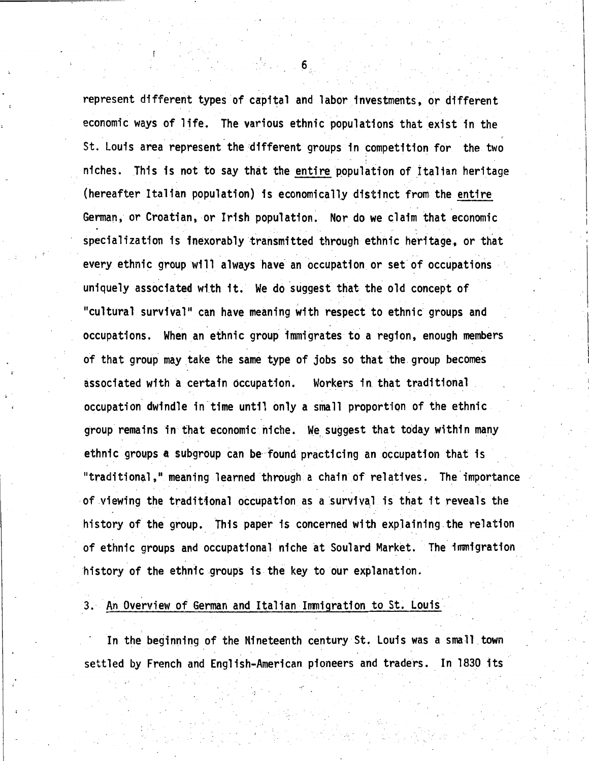represent different types of capital and labor investments, or different economic ways of life. The various ethnic populations that exist in the St. Louis area represent the different groups in competition for the two niches. This is not to say that the entire population of Italian heritage (hereafter Italian population) is economicall\_y distinct from the entire German, or Croatian, or Irish population. Nor do we claim that economic specialization is inexorably transmitted through ethnic heritage, or that every ethnic group will always have an occupation or set of occupations uniquely associated with it. We do suggest that the old concept of "cultural survival" can have meaning with respect to ethnic groups and occupations. When an ethnic group immigrates to a region, enough members of that group may take the same type of jobs so that the group becomes associated with a certain occupation. Workers in that traditional. occupation dwindle in time until only a small proportion of the ethnic group remains in that economic niche. We suggest that today within many ethnic groups a subgroup can be found practicing an occupation that is "traditional," meaning learned through a chain of relatives. The importance of viewing the traditional occupation as a survival is that it reveals the history of the group. This paper is concerned with explaining.the relation of ethnic groups and occupational niche at Soulard Market. The immigration history of the ethnic groups is the key to our explanation.

#### 3. An Overview of German and Italian Immigration to St. Louis

In the beginning of the Nineteenth century St. Louis was a small town settled by French and English-American pioneers and traders. In 1830 1ts

6.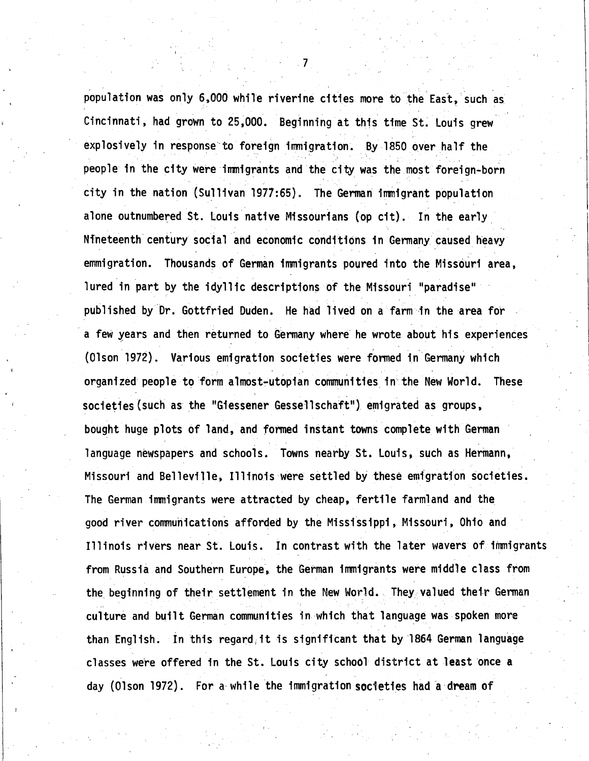population was only 6,000 while riverine cities more to the East, such as Cincinnati, had grown to 25,000. Beginning at this time St. Louis grew explosively in response to foreign immigration. By 1850 over half the people in the city were inmigrants and the city was the most foreign-born city in the nation (Sullivan 1977:65). The German irrmigrant population alone outnumbered St. Louis native Missourians (op cit). In the **early\_**  Nineteenth century social and economic conditions in Germany caused heavy emmigration. Thousands of German immigrants poured into the Missouri area, lured in part by the idyllic descriptions of the Missouri "paradise" published by.Dr. Gottfried Duden. He had lived on a farm in the area for a few years and then returned to Germany where he wrote about his experiences (Olson 1972). Various emigration societies were formed in- Germany which organized people to form almost-utopian communities in the New World. These societies(such as the "Giessener Gessellschaft") emigrated as groups, bought huge plots of land, and formed instant towns complete with German language newspapers and schools. Towns nearby St. Louis, such as Hermann, Missouri and Belleville, Illinois were settled by these emigration societies. The German irrmigrants were attracted by cheap, fertile farmland and the good river communications afforded by the Mississippi, Missouri, Ohio and Illinois rivers near St. Louis. In contrast with the later wavers of iimnigrants from Russia and Southern Europe, the German immigrants were middle class from the beginning of their settlement in the New World. They valued their German culture and built German communities in which that language was spoken more than English. In this regard it is significant that by 1864 German language classes were offered in the St. Louis city school district at least once a day (Olson 1972). For a while the immigration societies had a dream of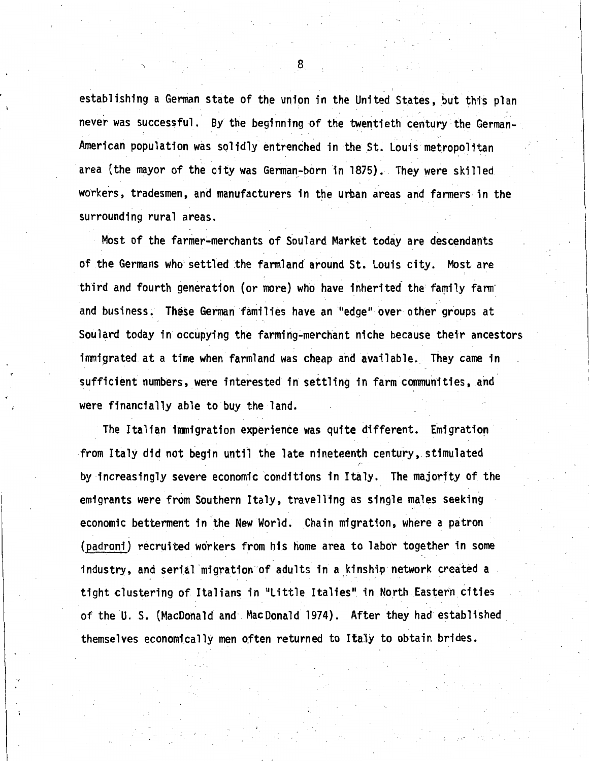establishing a German state of the union in the United States, but this plan never was successful. By the beginning of the twentieth century the German-American population was solidly entrenched in the St. Louis metropolitan area (the mayor of the city was German-born in 1875). They were skilled workers, tradesmen, and manufacturers in the urban areas and farmers in the surrounding rural areas.

Most of the farmer~merchants of Soulard Market today are descendants of the Germans who settled the farmland around St. Louis city. Most are third and fourth generation (or more) who have inherited the family farnr and business. These German families have an "edge" over other groups at Soulard today in occupying the farming-merchant niche because their ancestors immigrated at a time when farmland was cheap and available. They came in sufficient numbers, were interested in settling in farm communities, and were financially able to buy the land.

The Italian immigration experience was quite different. Emigration from Italy did not begin until the late nineteenth century, stimulated *r·*  by increasingly severe economic conditions in Italy. The majority of the emigrants were from Southern Italy, travelling as single. males seeking economic betterment in the New World. Chain migration, where a patron (padroni) recruited workers from his home area to labor together in some industry, and serial migration of adults in a kinship network created a tight clustering of Italians in 11Little Italies" in North Eastern cities of the U. S. {MacDonald and MacDonald 1974). After they had established themselves economically men often returned to Italy to obtain brides.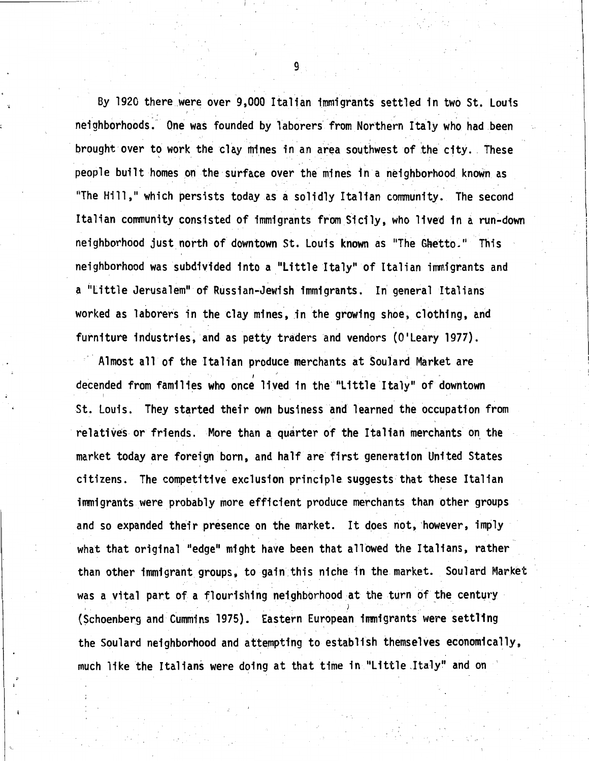By 1920 there were over 9,000 Italian immigrants settled in two St. Louis neighborhoods. One was founded by laborers from Northern Italy who had been brought over to work the clay mines in an area southwest of the city. These people built homes on the surface over the mines in a neighborhood known as "The Hill," which persists today as a solidly Italian community. The second Italian conmunity consisted of immigrants from Sicily, who lived in a run~down neighborhood just north of downtown St. Louis known as "The Ghetto." This neighborhood was subdivided into a "Little Italy" of Italian immigrants and a "Little Jerusalem" of Russian-Jewish immigrants. In general Italians worked as laborers in the clay mines, in the growing shoe, clothing, and furniture industries, and as petty traders and vendors (O'Leary 1977).

Almost all of the Italian produce merchants at Soulard Market are decended from families who once lived in the "Little Italy" of downtown St. Louis. They started their own business and learned the occupation from relatives or friends. More than a quarter of the Italian merchants on the market today are foreign born, and half are first generation United States citizens. The competitive exclusion principle suggests that these Italian . ' immigrants were probably more efficient produce merchants than other groups and so expanded their presence on the market. It does not, however, imply what that original "edge" might have been that allowed the Italians, rather than other immigrant groups, to gain this niche in the market. Soulard Market was a vital part of a flourishing neighborhood at the turn of the century (Schoenberg and Cummins 1975). Eastern European immigrants were settling the Soulard neighborhood and attempting to establish themselves economically, much like the Italians were doing at that time in "Little .Italy" and on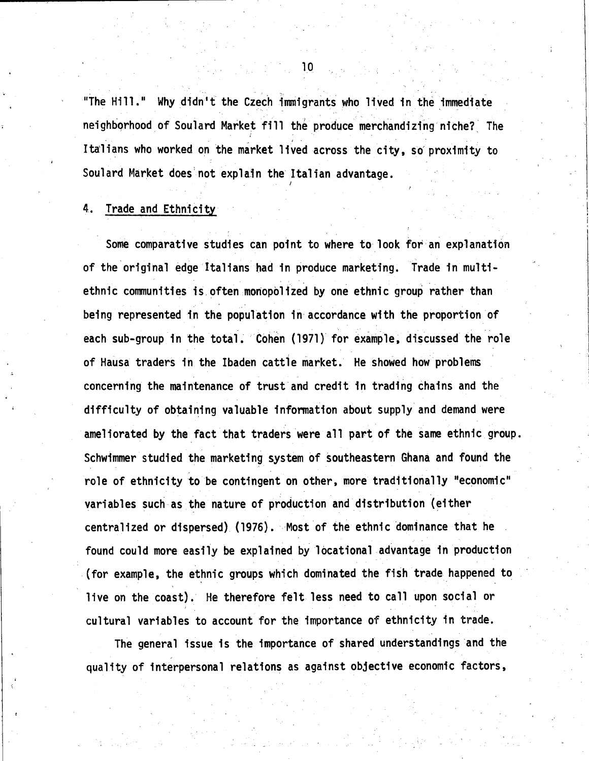"The Hill." Why didn't the Czech immigrants who lived in the immediate neighborhood of Soulard Market fill the produce merchandizing niche? The Italians who worked on the market lived across the city, so proximity to Soulard Market does'not explain the Italian advantage.

*I* 

#### 4. Trade and Ethnicity

Some comparative studies can point to where to look for an explanation of the'original edge Italians had in produce marketing. Trade in multiethnic communities is often monopolized by one ethnic group rather than being represented in the population in accordance with the proportion of each sub-group in the total. Cohen (1971) for example, discussed the role of Hausa traders in the Ibaden cattle market. He showed how problems concerning the maintenance of trust and credit in trading chains and the difficulty of obtaining valuable infonnation about supply and demand were ameliorated by the fact that traders were all part of the same ethnic group. Schwimmer studied the marketing system of southeastern Ghana and found the role of ethnicity to be contingent on other, more traditionally "economic" variables such as the nature of production and distribution {either centralized or dispersed) (1976). - Most of the ethnic dominance that he found could more easily be explained by locational advantage in production -(for example, the ethnic groups which dominated the fish trade happened to live on the coast). He therefore felt less need to call upon social or cultural variables to account for the importance of ethnicity in trade.

The general issue is the importance of shared understandings and the . quality of interpersonal relations as against objective economic factors,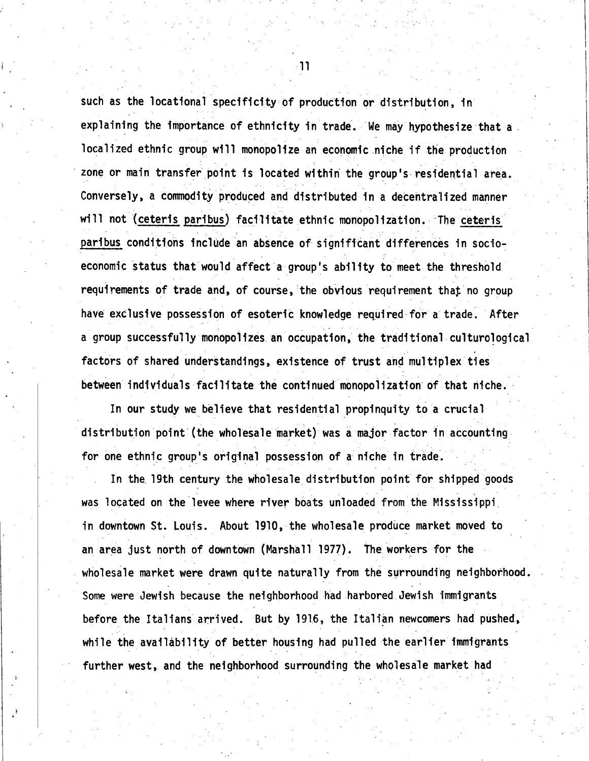such as the locational specificity of production or distribution, in explaining the importance of ethnicity in trade. We may hypothesize that a . localized ethnic group will monopolize an economic niche if the production zone or main transfer point is located within the group's residential area. Conversely, a commodity produced and distributed in a decentralized manner will not (ceteris paribus) facilitate ethnic monopolization. The ceteris paribus conditions include an absence of significant differences in socioeconomic status that would affect a group's ability to meet the threshold requirements of trade and, of course, the obvious requirement that no group have exclusive possession of **esoteric** knowledge req\_uired-for a trade: After a group successfully monopolizes an occupation, the traditional culturo1ogical factors of shared understandings, existence of trust and multiplex ties between individuals facilitate the continued monopolization of that niche.

In our study we believe that residential propinquity to a crucial distribution point (the wholesale market) was a major factor in accounting for one ethnic group's original possession of a niche in trade.

In the 19th century the wholesale distribution point for shipped goods was located on the levee where river boats unloaded from the Mississippi\_ in downtown St. Louis. About 1910, the wholesale produce market moved to an area just north of downtown (Marshall 1977). The workers for the wholesale market were drawn quite naturally from the surrounding neighborhood. Some were Jewish because the neighborhood had harbored Jewish immigrants before the Italians arrived. But by 1916, the Italian newcomers had pushed, while the availability of better housing had pulled the earlier immigrants further west, and the neighborhood surrounding the wholesale market had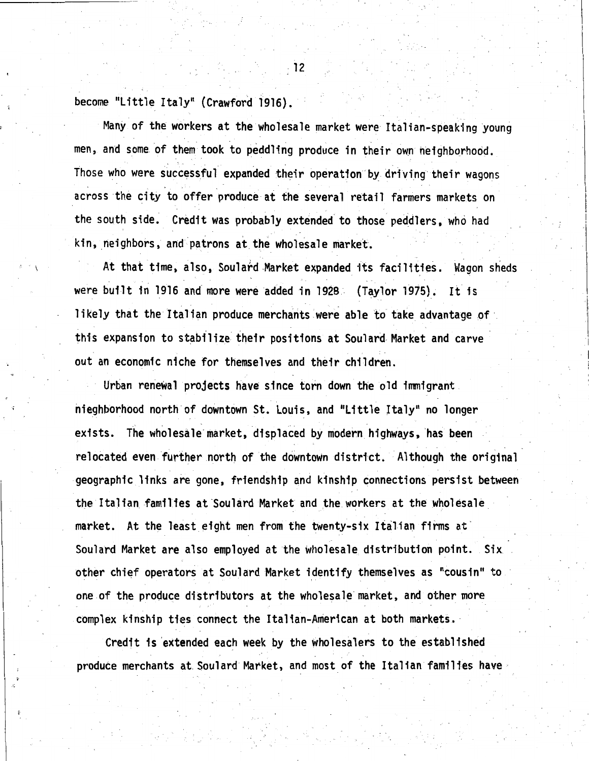become "Little Italy" (Crawford 1916).

Many of the workers at the wholesale market were Italian-speaking young men, and some of them took to peddling produce in their own neighborhood. Those who were successful expanded their operation by driving their wagons across the city to offer produce at the several retail farmers markets on the south side. Credit was probably extended to those peddlers, who had kin, neighbors, and patrons at the wholesale market.

At that time, also, Soulard.Market expanded its facilities. Wagon sheds - . . . . - . were built in 1916 and more were added in 1928. (Taylor 1975). It is likely that the Italian produce merchants were able to take advantage of this expansion to stabilize their positions at Soulard-Market and carve out an economic niche for themselves and their children.

Urban renewal projects have since torn down the old immigrant nieghborhood north of downtown St. Louis, and "Little Italy" no longer exists. The wholesale market, displaced by modern highways, has been relocated even further north of the downtown district. Although the original geographic links are gone, friendship and kinship connections persist between the Italian families at Soulard Market and the workers at the wholesale. market. At the least eight men from the twenty-six Italian firms at Soulard Market are also employed at the wholesale distribution point. Six other chief operators at Soulard Market identify themselves as "cousin" to one of the produce distributors at the wholesale·market, and other more complex kinship ties connect the Italian-American at both markets.

Credit is extended each week by the wholesalers to the established produce merchants at. Soulard Market, and most of the Italian families have

12

 $\overline{\phantom{a}}$ I I

I I . I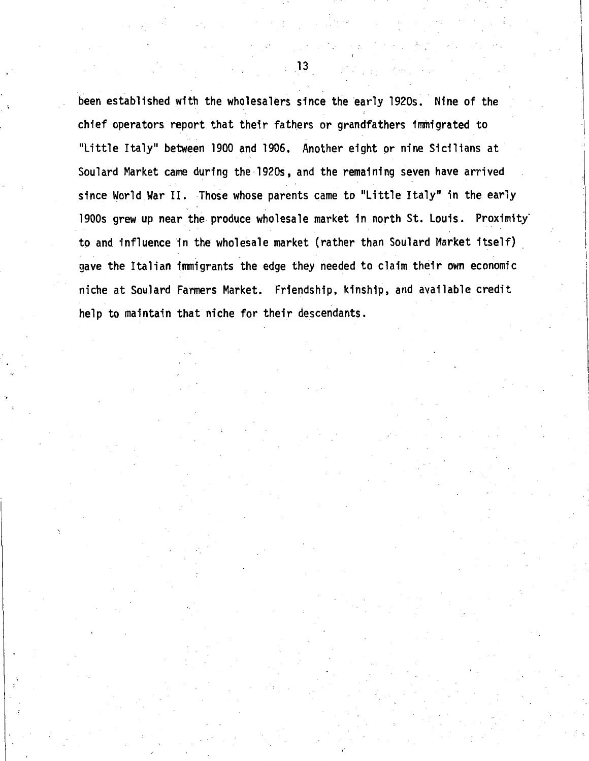been established with the wholesalers since the early 1920s. Nine of the chief operators report that their fathers or grandfathers immigrated to "Little Italy" between 1900 and 1906. Another eight or nine Sicilians at Soulard Market came during the·l920s, and the remaining seven have arrived since World War II. Those whose parents came to "Little Italy" in the early 1900s grew up near the produce wholesale market in north St. Louis. Proximity to and influence in the wholesale market (rather than Soulard Market itself) gave the Italian immigrants the edge they needed to claim their own economic niche at Soulard Farmers Market. Friendship, kinship, and available credit help to maintain that niche for their descendants.

 $\blacksquare$  13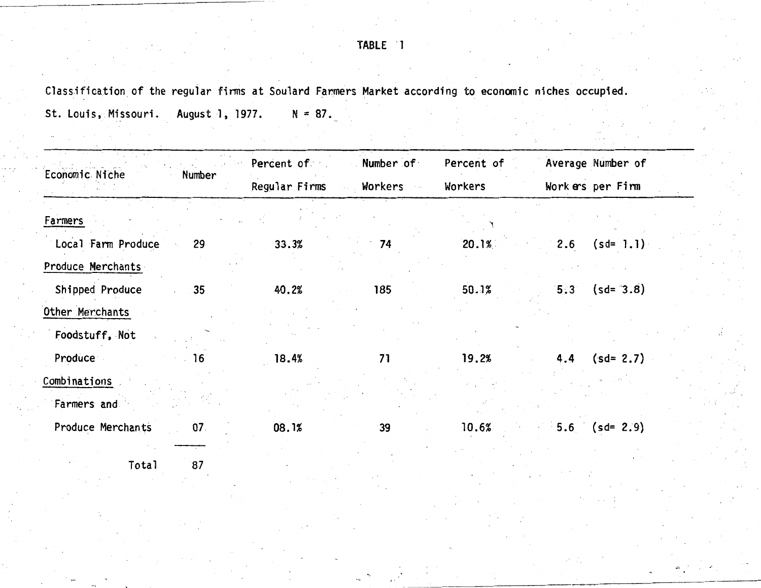### TABLE ·1

Classification of the regular firms at Soulard Farmers Market according to economic niches occupied.

St. Louis, Missouri. August 1, 1977.  $N = 87$ .

| Economic Niche<br>Number             | Percent of    | Number of | Percent of | Average Number of   |
|--------------------------------------|---------------|-----------|------------|---------------------|
|                                      | Regular Firms | Workers   | Workers    | Workers per Firm    |
| Farmers                              |               |           |            |                     |
| Local Farm Produce<br>29             | 33.3%         | 74        | 20.1%      | $(sd=1.1)$<br>2.6   |
| Produce Merchants                    |               |           |            |                     |
| Shipped Produce<br>35                | 40.2%         | 185       | 50.1%      | $(sd = 3.8)$<br>5:3 |
| Other Merchants                      |               |           |            |                     |
| Foodstuff, Not                       |               |           |            |                     |
| Produce<br>16                        | 18.4%         | 71        | 19.2%      | $(sd = 2.7)$<br>4.4 |
| Combinations                         |               |           |            |                     |
| Farmers and                          |               |           |            |                     |
| Produce Merchants<br>07 <sub>1</sub> | 08.1%         | 39        | 10.6%      | 5.6 $(sd=2.9)$      |
| 87<br>Total                          |               |           |            |                     |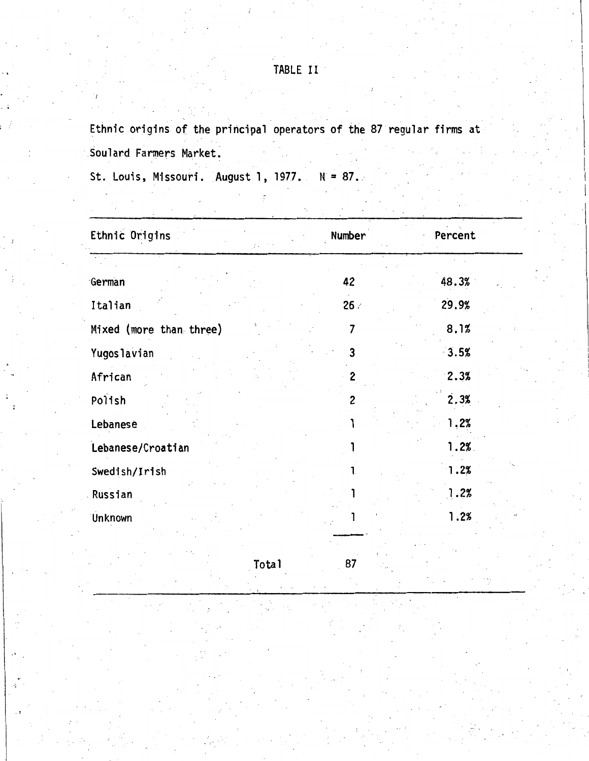## TABLE II

Ethnic origins of the principal operators of the 87 regular firms at Soulard Farmers Market.

St. Louis, Missouri. August 1, 1977.  $N = 87$ .

| Ethnic Origins          | Number | Percent |
|-------------------------|--------|---------|
|                         |        |         |
| German                  | 42     | 48.3%   |
| Italian                 | 26:    | 29.9%   |
| Mixed (more than three) | 7      | 8.1%    |
| <b>Yugoslavian</b>      | 3      | 3.5%    |
| African                 | 2      | 2.3%    |
| Polish                  | 2      | 2.3%    |
| Lebanese                |        | 1.2%    |
| Lebanese/Croatian       |        | 1.2%    |
| Swedish/Irish           |        | 1.2%    |
| Russian                 |        | 1.2%    |
| Unknown                 |        | 1.2%    |
|                         |        |         |

Total 87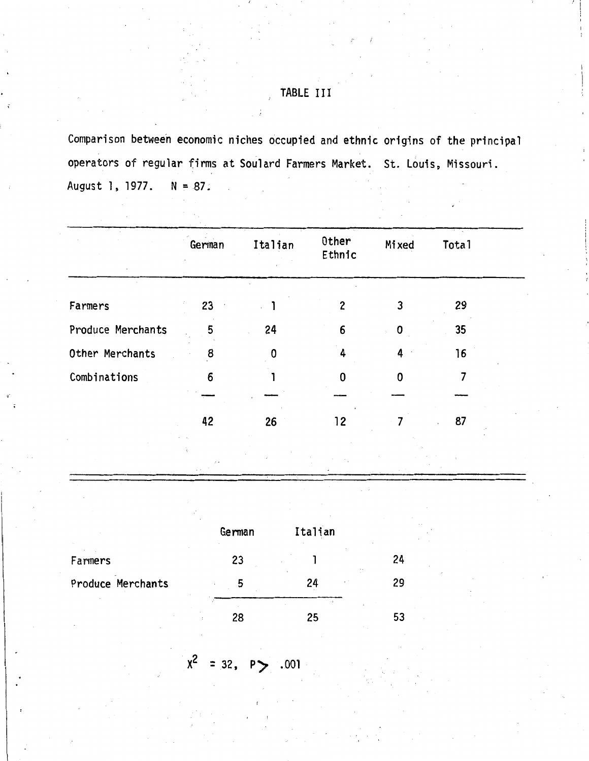## TABLE III

Comparison between economic niches occupied and ethnic origins of the principal operators of regular firms at Soulard Farmers Market. St. Louis, Missouri. August 1, 1977. N = 87.

|                   | German | Italian | Other<br>Ethnic | Mixed       | Total |  |
|-------------------|--------|---------|-----------------|-------------|-------|--|
| Farmers           | 23     |         | 2               | 3           | 29    |  |
| Produce Merchants | 5      | 24      | 6               | 0           | 35    |  |
| Other Merchants   | 8      | 0       | 4               | 4           | 16    |  |
| Combinations      | 6      |         | U               | $\mathbf 0$ |       |  |
|                   |        |         |                 |             |       |  |
|                   | 42     | 26      | 12              |             | 87    |  |
|                   |        |         |                 |             |       |  |

|                   | German | Italian |    |
|-------------------|--------|---------|----|
| Farmers           | 23     |         | 24 |
| Produce Merchants | 5      | 24      | 29 |
|                   | 28     | 25      | 5. |

$$
x^2 = 32, P > .001
$$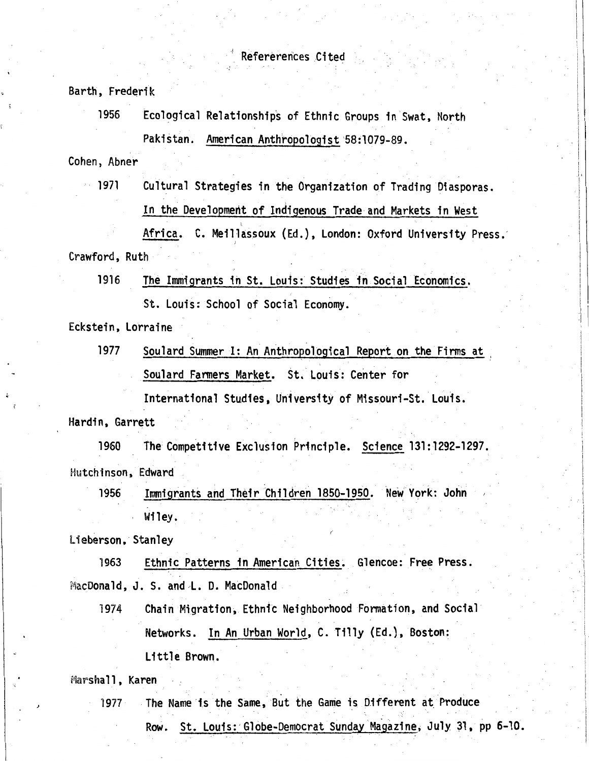Barth, Frederik

1956 Ecological Relationships of Ethnic Groups in Swat, North Pakistan. American Anthropologist '58:1079-89.

Cohen, Abner

1971 Cultural Strategies in the Organization of Trading Diasporas. In the Development of Indigenous Trade and Markets in West

Africa. C. Meillassoux (Ed.), London: Oxford University Press: *)*  Crawford, Ruth

1916 The Immigrants in St. Louis: Studies in Social Economics.

St. Louis: School of Social Economy.

Eckstein, Lorraine

1977 Soulard Summer I: An Anthropological Report on the Firms at Soulard Fanners Market. St. Louis: Center for

.1

International Studies, University of Missouri-St. Louis. Hardin, Garrett

1960 The Competitive Exclusion Principle. Science 131:1292-1297. Hutchinson, Edward

1956 Immigrants and Their Children 1850-1950. New York: John Wiley.

Lieberson, Stanley

1963 Ethnic Patterns in American Cities. Glencoe: **Free Press.**  MacDonald, J. S. and L. D. MacDonald

1974 Chain Migration, Ethnic Neighborhood Fonnation, and Social Networks. In An Urban World, C. Tilly (Ed.), Boston: Little Brown.

Marshall, Karen

1977 The Name is the Same, But the Game is Different at Produce Row. St. Louis: Globe-Democrat Sunday Magazine, July 31, pp 6-10.